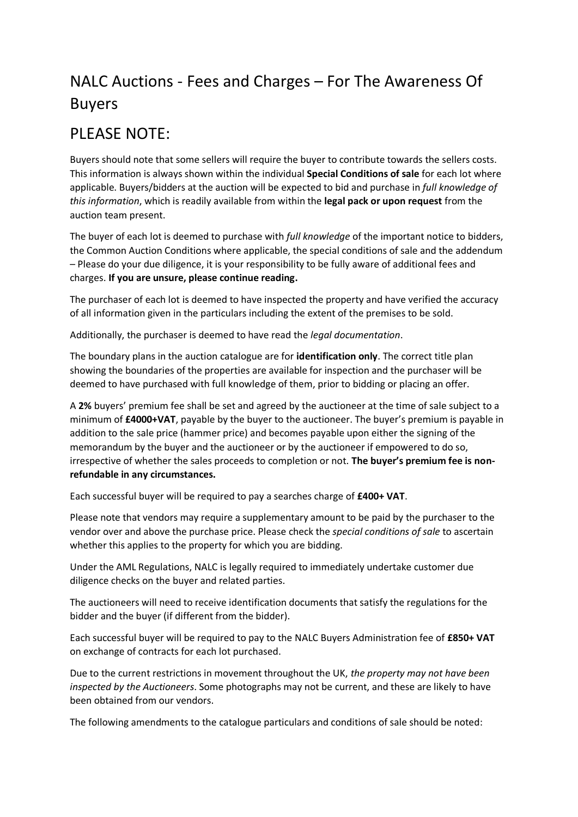## NALC Auctions - Fees and Charges – For The Awareness Of Buyers

## PLEASE NOTE:

Buyers should note that some sellers will require the buyer to contribute towards the sellers costs. This information is always shown within the individual **Special Conditions of sale** for each lot where applicable. Buyers/bidders at the auction will be expected to bid and purchase in *full knowledge of this information*, which is readily available from within the **legal pack or upon request** from the auction team present.

The buyer of each lot is deemed to purchase with *full knowledge* of the important notice to bidders, the Common Auction Conditions where applicable, the special conditions of sale and the addendum – Please do your due diligence, it is your responsibility to be fully aware of additional fees and charges. **If you are unsure, please continue reading.**

The purchaser of each lot is deemed to have inspected the property and have verified the accuracy of all information given in the particulars including the extent of the premises to be sold.

Additionally, the purchaser is deemed to have read the *legal documentation*.

The boundary plans in the auction catalogue are for **identification only**. The correct title plan showing the boundaries of the properties are available for inspection and the purchaser will be deemed to have purchased with full knowledge of them, prior to bidding or placing an offer.

A **2%** buyers' premium fee shall be set and agreed by the auctioneer at the time of sale subject to a minimum of **£4000+VAT**, payable by the buyer to the auctioneer. The buyer's premium is payable in addition to the sale price (hammer price) and becomes payable upon either the signing of the memorandum by the buyer and the auctioneer or by the auctioneer if empowered to do so, irrespective of whether the sales proceeds to completion or not. **The buyer's premium fee is nonrefundable in any circumstances.**

Each successful buyer will be required to pay a searches charge of **£400+ VAT**.

Please note that vendors may require a supplementary amount to be paid by the purchaser to the vendor over and above the purchase price. Please check the *special conditions of sale* to ascertain whether this applies to the property for which you are bidding.

Under the AML Regulations, NALC is legally required to immediately undertake customer due diligence checks on the buyer and related parties.

The auctioneers will need to receive identification documents that satisfy the regulations for the bidder and the buyer (if different from the bidder).

Each successful buyer will be required to pay to the NALC Buyers Administration fee of **£850+ VAT** on exchange of contracts for each lot purchased.

Due to the current restrictions in movement throughout the UK, *the property may not have been inspected by the Auctioneers*. Some photographs may not be current, and these are likely to have been obtained from our vendors.

The following amendments to the catalogue particulars and conditions of sale should be noted: